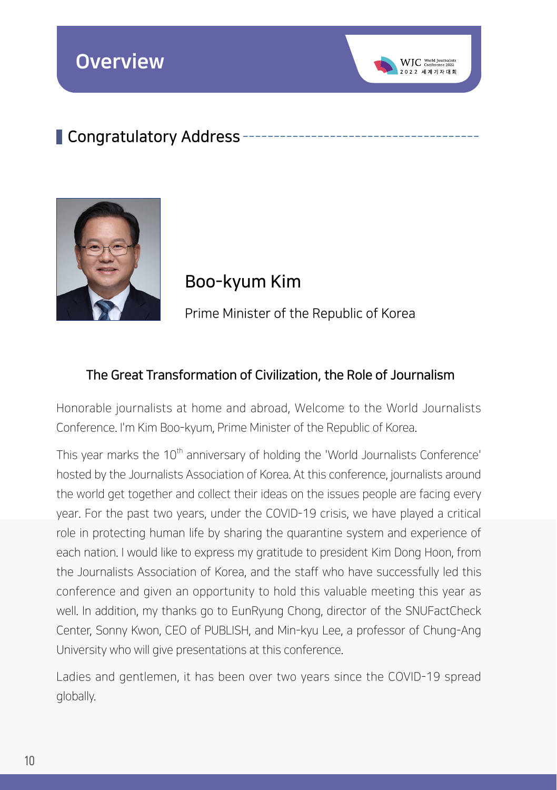## Congratulatory Address -



Boo-kyum Kim

Prime Minister of the Republic of Korea

 $WIC$  World Jou

## The Great Transformation of Civilization, the Role of Journalism

Honorable journalists at home and abroad, Welcome to the World Journalists Conference. I'm Kim Boo-kyum, Prime Minister of the Republic of Korea.

This year marks the 10<sup>th</sup> anniversary of holding the 'World Journalists Conference' hosted by the Journalists Association of Korea. At this conference, journalists around the world get together and collect their ideas on the issues people are facing every year. For the past two years, under the COVID-19 crisis, we have played a critical role in protecting human life by sharing the quarantine system and experience of each nation. I would like to express my gratitude to president Kim Dong Hoon, from the Journalists Association of Korea, and the staff who have successfully led this conference and given an opportunity to hold this valuable meeting this year as well. In addition, my thanks go to EunRyung Chong, director of the SNUFactCheck Center, Sonny Kwon, CEO of PUBLISH, and Min-kyu Lee, a professor of Chung-Ang University who will give presentations at this conference.

Ladies and gentlemen, it has been over two years since the COVID-19 spread globally.